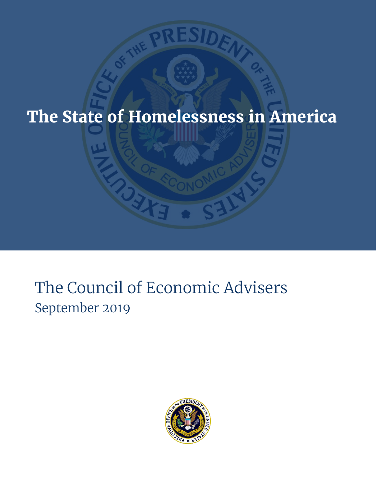# **The State of Homelessness in America**

# The Council of Economic Advisers September 2019

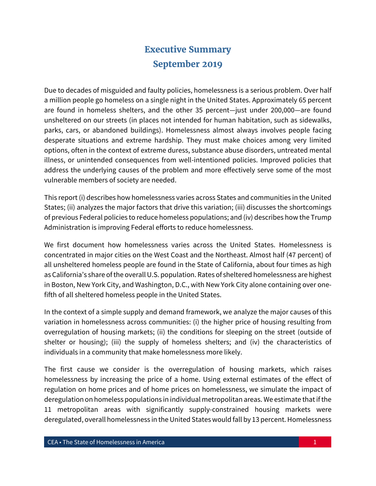# **Executive Summary September 2019**

Due to decades of misguided and faulty policies, homelessness is a serious problem. Over half a million people go homeless on a single night in the United States. Approximately 65 percent are found in homeless shelters, and the other 35 percent—just under 200,000—are found unsheltered on our streets (in places not intended for human habitation, such as sidewalks, parks, cars, or abandoned buildings). Homelessness almost always involves people facing desperate situations and extreme hardship. They must make choices among very limited options, often in the context of extreme duress, substance abuse disorders, untreated mental illness, or unintended consequences from well-intentioned policies. Improved policies that address the underlying causes of the problem and more effectively serve some of the most vulnerable members of society are needed.

This report (i) describes how homelessness varies across States and communities in the United States; (ii) analyzes the major factors that drive this variation; (iii) discusses the shortcomings of previous Federal policies to reduce homeless populations; and (iv) describes how the Trump Administration is improving Federal efforts to reduce homelessness.

We first document how homelessness varies across the United States. Homelessness is concentrated in major cities on the West Coast and the Northeast. Almost half (47 percent) of all unsheltered homeless people are found in the State of California, about four times as high as California's share of the overall U.S. population. Rates of sheltered homelessness are highest in Boston, New York City, and Washington, D.C., with New York City alone containing over onefifth of all sheltered homeless people in the United States.

In the context of a simple supply and demand framework, we analyze the major causes of this variation in homelessness across communities: (i) the higher price of housing resulting from overregulation of housing markets; (ii) the conditions for sleeping on the street (outside of shelter or housing); (iii) the supply of homeless shelters; and (iv) the characteristics of individuals in a community that make homelessness more likely.

The first cause we consider is the overregulation of housing markets, which raises homelessness by increasing the price of a home. Using external estimates of the effect of regulation on home prices and of home prices on homelessness, we simulate the impact of deregulation on homeless populations in individual metropolitan areas. We estimate that if the 11 metropolitan areas with significantly supply-constrained housing markets were deregulated, overall homelessness in the United States would fall by 13 percent. Homelessness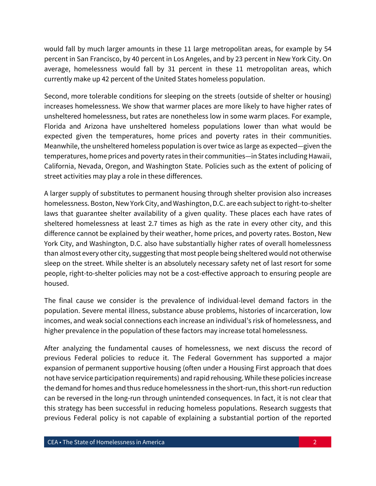would fall by much larger amounts in these 11 large metropolitan areas, for example by 54 percent in San Francisco, by 40 percent in Los Angeles, and by 23 percent in New York City. On average, homelessness would fall by 31 percent in these 11 metropolitan areas, which currently make up 42 percent of the United States homeless population.

Second, more tolerable conditions for sleeping on the streets (outside of shelter or housing) increases homelessness. We show that warmer places are more likely to have higher rates of unsheltered homelessness, but rates are nonetheless low in some warm places. For example, Florida and Arizona have unsheltered homeless populations lower than what would be expected given the temperatures, home prices and poverty rates in their communities. Meanwhile, the unsheltered homeless population is over twice as large as expected—given the temperatures, home prices and poverty rates in their communities—in States including Hawaii, California, Nevada, Oregon, and Washington State. Policies such as the extent of policing of street activities may play a role in these differences.

A larger supply of substitutes to permanent housing through shelter provision also increases homelessness. Boston, New York City, and Washington, D.C. are each subject to right-to-shelter laws that guarantee shelter availability of a given quality. These places each have rates of sheltered homelessness at least 2.7 times as high as the rate in every other city, and this difference cannot be explained by their weather, home prices, and poverty rates. Boston, New York City, and Washington, D.C. also have substantially higher rates of overall homelessness than almost every other city, suggesting that most people being sheltered would not otherwise sleep on the street. While shelter is an absolutely necessary safety net of last resort for some people, right-to-shelter policies may not be a cost-effective approach to ensuring people are housed.

The final cause we consider is the prevalence of individual-level demand factors in the population. Severe mental illness, substance abuse problems, histories of incarceration, low incomes, and weak social connections each increase an individual's risk of homelessness, and higher prevalence in the population of these factors may increase total homelessness.

After analyzing the fundamental causes of homelessness, we next discuss the record of previous Federal policies to reduce it. The Federal Government has supported a major expansion of permanent supportive housing (often under a Housing First approach that does not have service participation requirements) and rapid rehousing. While these policies increase the demand for homes and thus reduce homelessness in the short-run, this short-run reduction can be reversed in the long-run through unintended consequences. In fact, it is not clear that this strategy has been successful in reducing homeless populations. Research suggests that previous Federal policy is not capable of explaining a substantial portion of the reported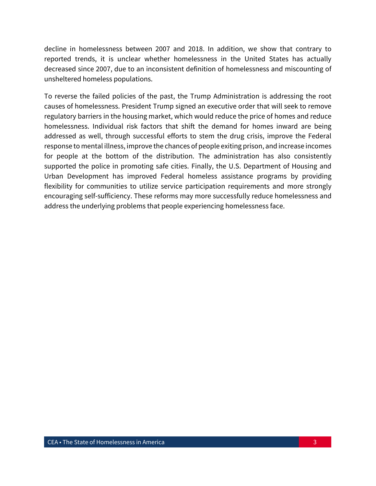decline in homelessness between 2007 and 2018. In addition, we show that contrary to reported trends, it is unclear whether homelessness in the United States has actually decreased since 2007, due to an inconsistent definition of homelessness and miscounting of unsheltered homeless populations.

To reverse the failed policies of the past, the Trump Administration is addressing the root causes of homelessness. President Trump signed an executive order that will seek to remove regulatory barriers in the housing market, which would reduce the price of homes and reduce homelessness. Individual risk factors that shift the demand for homes inward are being addressed as well, through successful efforts to stem the drug crisis, improve the Federal response to mental illness, improve the chances of people exiting prison, and increase incomes for people at the bottom of the distribution. The administration has also consistently supported the police in promoting safe cities. Finally, the U.S. Department of Housing and Urban Development has improved Federal homeless assistance programs by providing flexibility for communities to utilize service participation requirements and more strongly encouraging self-sufficiency. These reforms may more successfully reduce homelessness and address the underlying problems that people experiencing homelessness face.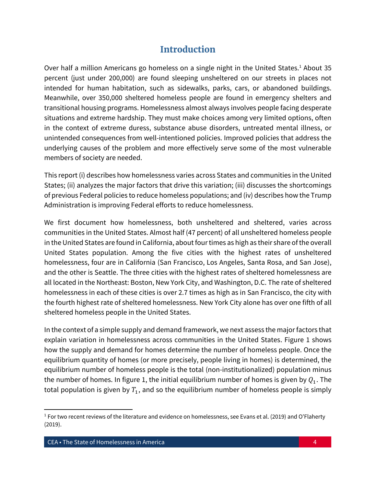## **Introduction**

Over half a million Americans go homeless on a single night in the United States. <sup>1</sup> About 35 percent (just under 200,000) are found sleeping unsheltered on our streets in places not intended for human habitation, such as sidewalks, parks, cars, or abandoned buildings. Meanwhile, over 350,000 sheltered homeless people are found in emergency shelters and transitional housing programs. Homelessness almost always involves people facing desperate situations and extreme hardship. They must make choices among very limited options, often in the context of extreme duress, substance abuse disorders, untreated mental illness, or unintended consequences from well-intentioned policies. Improved policies that address the underlying causes of the problem and more effectively serve some of the most vulnerable members of society are needed.

This report (i) describes how homelessness varies across States and communities in the United States; (ii) analyzes the major factors that drive this variation; (iii) discusses the shortcomings of previous Federal policies to reduce homeless populations; and (iv) describes how the Trump Administration is improving Federal efforts to reduce homelessness.

We first document how homelessness, both unsheltered and sheltered, varies across communities in the United States. Almost half (47 percent) of all unsheltered homeless people in the United States are found in California, about four times as high as their share of the overall United States population. Among the five cities with the highest rates of unsheltered homelessness, four are in California (San Francisco, Los Angeles, Santa Rosa, and San Jose), and the other is Seattle. The three cities with the highest rates of sheltered homelessness are all located in the Northeast: Boston, New York City, and Washington, D.C. The rate of sheltered homelessness in each of these cities is over 2.7 times as high as in San Francisco, the city with the fourth highest rate of sheltered homelessness. New York City alone has over one fifth of all sheltered homeless people in the United States.

In the context of a simple supply and demand framework, we next assess the major factors that explain variation in homelessness across communities in the United States. Figure 1 shows how the supply and demand for homes determine the number of homeless people. Once the equilibrium quantity of homes (or more precisely, people living in homes) is determined, the equilibrium number of homeless people is the total (non-institutionalized) population minus the number of homes. In figure 1, the initial equilibrium number of homes is given by  $Q_1$ . The total population is given by  $T_1$ , and so the equilibrium number of homeless people is simply

 $\overline{a}$ 

<sup>&</sup>lt;sup>1</sup> For two recent reviews of the literature and evidence on homelessness, see Evans et al. (2019) and O'Flaherty (2019).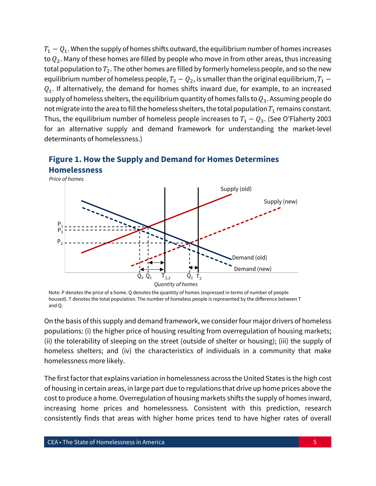$T_1 - Q_1$ . When the supply of homes shifts outward, the equilibrium number of homes increases to  $Q_2$ . Many of these homes are filled by people who move in from other areas, thus increasing total population to  $T_2$ . The other homes are filled by formerly homeless people, and so the new equilibrium number of homeless people,  $T_2 - Q_2$ , is smaller than the original equilibrium,  $T_1 Q_1$ . If alternatively, the demand for homes shifts inward due, for example, to an increased supply of homeless shelters, the equilibrium quantity of homes falls to  $Q_3$ . Assuming people do not migrate into the area to fill the homeless shelters, the total population  $T_1$  remains constant. Thus, the equilibrium number of homeless people increases to  $T_1 - Q_3$ . (See O'Flaherty 2003 for an alternative supply and demand framework for understanding the market-level determinants of homelessness.)





On the basis of this supply and demand framework, we consider four major drivers of homeless populations: (i) the higher price of housing resulting from overregulation of housing markets; (ii) the tolerability of sleeping on the street (outside of shelter or housing); (iii) the supply of homeless shelters; and (iv) the characteristics of individuals in a community that make homelessness more likely.

The first factor that explains variation in homelessness across the United States is the high cost of housing in certain areas, in large part due to regulations that drive up home prices above the cost to produce a home. Overregulation of housing markets shifts the supply of homes inward, increasing home prices and homelessness. Consistent with this prediction, research consistently finds that areas with higher home prices tend to have higher rates of overall

Note: P denotes the price of a home. Q denotes the quantity of homes (expressed in terms of number of people housed). T denotes the total population. The number of homeless people is represented by the difference between T and Q.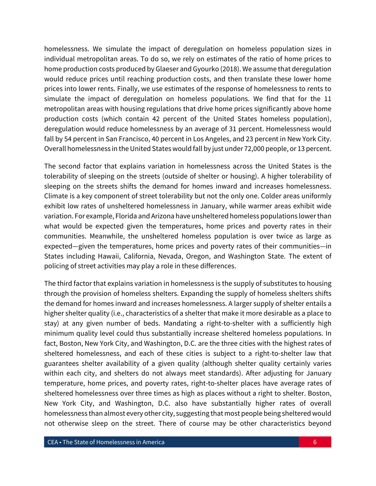homelessness. We simulate the impact of deregulation on homeless population sizes in individual metropolitan areas. To do so, we rely on estimates of the ratio of home prices to home production costs produced by Glaeser and Gyourko (2018). We assume that deregulation would reduce prices until reaching production costs, and then translate these lower home prices into lower rents. Finally, we use estimates of the response of homelessness to rents to simulate the impact of deregulation on homeless populations. We find that for the 11 metropolitan areas with housing regulations that drive home prices significantly above home production costs (which contain 42 percent of the United States homeless population), deregulation would reduce homelessness by an average of 31 percent. Homelessness would fall by 54 percent in San Francisco, 40 percent in Los Angeles, and 23 percent in New York City. Overall homelessness in the United States would fall by just under 72,000 people, or 13 percent.

The second factor that explains variation in homelessness across the United States is the tolerability of sleeping on the streets (outside of shelter or housing). A higher tolerability of sleeping on the streets shifts the demand for homes inward and increases homelessness. Climate is a key component of street tolerability but not the only one. Colder areas uniformly exhibit low rates of unsheltered homelessness in January, while warmer areas exhibit wide variation. For example, Florida and Arizona have unsheltered homeless populations lower than what would be expected given the temperatures, home prices and poverty rates in their communities. Meanwhile, the unsheltered homeless population is over twice as large as expected—given the temperatures, home prices and poverty rates of their communities—in States including Hawaii, California, Nevada, Oregon, and Washington State. The extent of policing of street activities may play a role in these differences.

The third factor that explains variation in homelessness is the supply of substitutes to housing through the provision of homeless shelters. Expanding the supply of homeless shelters shifts the demand for homes inward and increases homelessness. A larger supply of shelter entails a higher shelter quality (i.e., characteristics of a shelter that make it more desirable as a place to stay) at any given number of beds. Mandating a right-to-shelter with a sufficiently high minimum quality level could thus substantially increase sheltered homeless populations. In fact, Boston, New York City, and Washington, D.C. are the three cities with the highest rates of sheltered homelessness, and each of these cities is subject to a right-to-shelter law that guarantees shelter availability of a given quality (although shelter quality certainly varies within each city, and shelters do not always meet standards). After adjusting for January temperature, home prices, and poverty rates, right-to-shelter places have average rates of sheltered homelessness over three times as high as places without a right to shelter. Boston, New York City, and Washington, D.C. also have substantially higher rates of overall homelessness than almost every other city, suggesting that most people being sheltered would not otherwise sleep on the street. There of course may be other characteristics beyond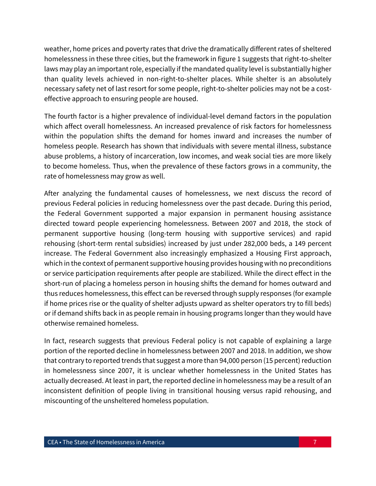weather, home prices and poverty rates that drive the dramatically different rates of sheltered homelessness in these three cities, but the framework in figure 1 suggests that right-to-shelter laws may play an important role, especially if the mandated quality level is substantially higher than quality levels achieved in non-right-to-shelter places. While shelter is an absolutely necessary safety net of last resort for some people, right-to-shelter policies may not be a costeffective approach to ensuring people are housed.

The fourth factor is a higher prevalence of individual-level demand factors in the population which affect overall homelessness. An increased prevalence of risk factors for homelessness within the population shifts the demand for homes inward and increases the number of homeless people. Research has shown that individuals with severe mental illness, substance abuse problems, a history of incarceration, low incomes, and weak social ties are more likely to become homeless. Thus, when the prevalence of these factors grows in a community, the rate of homelessness may grow as well.

After analyzing the fundamental causes of homelessness, we next discuss the record of previous Federal policies in reducing homelessness over the past decade. During this period, the Federal Government supported a major expansion in permanent housing assistance directed toward people experiencing homelessness. Between 2007 and 2018, the stock of permanent supportive housing (long-term housing with supportive services) and rapid rehousing (short-term rental subsidies) increased by just under 282,000 beds, a 149 percent increase. The Federal Government also increasingly emphasized a Housing First approach, which in the context of permanent supportive housing provides housing with no preconditions or service participation requirements after people are stabilized. While the direct effect in the short-run of placing a homeless person in housing shifts the demand for homes outward and thus reduces homelessness, this effect can be reversed through supply responses (for example if home prices rise or the quality of shelter adjusts upward as shelter operators try to fill beds) or if demand shifts back in as people remain in housing programs longer than they would have otherwise remained homeless.

In fact, research suggests that previous Federal policy is not capable of explaining a large portion of the reported decline in homelessness between 2007 and 2018. In addition, we show that contrary to reported trends that suggest a more than 94,000 person (15 percent) reduction in homelessness since 2007, it is unclear whether homelessness in the United States has actually decreased. At least in part, the reported decline in homelessness may be a result of an inconsistent definition of people living in transitional housing versus rapid rehousing, and miscounting of the unsheltered homeless population.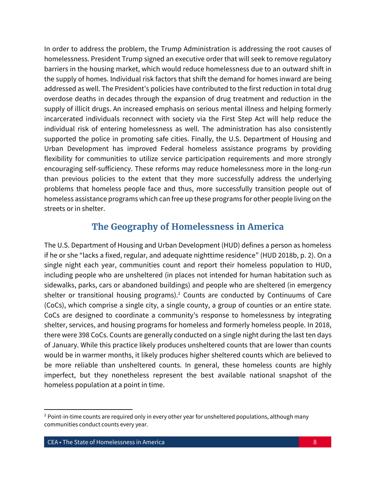In order to address the problem, the Trump Administration is addressing the root causes of homelessness. President Trump signed an executive order that will seek to remove regulatory barriers in the housing market, which would reduce homelessness due to an outward shift in the supply of homes. Individual risk factors that shift the demand for homes inward are being addressed as well. The President's policies have contributed to the first reduction in total drug overdose deaths in decades through the expansion of drug treatment and reduction in the supply of illicit drugs. An increased emphasis on serious mental illness and helping formerly incarcerated individuals reconnect with society via the First Step Act will help reduce the individual risk of entering homelessness as well. The administration has also consistently supported the police in promoting safe cities. Finally, the U.S. Department of Housing and Urban Development has improved Federal homeless assistance programs by providing flexibility for communities to utilize service participation requirements and more strongly encouraging self-sufficiency. These reforms may reduce homelessness more in the long-run than previous policies to the extent that they more successfully address the underlying problems that homeless people face and thus, more successfully transition people out of homeless assistance programs which can free up these programs for other people living on the streets or in shelter.

## **The Geography of Homelessness in America**

The U.S. Department of Housing and Urban Development (HUD) defines a person as homeless if he or she "lacks a fixed, regular, and adequate nighttime residence" (HUD 2018b, p. 2). On a single night each year, communities count and report their homeless population to HUD, including people who are unsheltered (in places not intended for human habitation such as sidewalks, parks, cars or abandoned buildings) and people who are sheltered (in emergency shelter or transitional housing programs).<sup>2</sup> Counts are conducted by Continuums of Care (CoCs), which comprise a single city, a single county, a group of counties or an entire state. CoCs are designed to coordinate a community's response to homelessness by integrating shelter, services, and housing programs for homeless and formerly homeless people. In 2018, there were 398 CoCs. Counts are generally conducted on a single night during the last ten days of January. While this practice likely produces unsheltered counts that are lower than counts would be in warmer months, it likely produces higher sheltered counts which are believed to be more reliable than unsheltered counts. In general, these homeless counts are highly imperfect, but they nonetheless represent the best available national snapshot of the homeless population at a point in time.

 $\overline{a}$ 

<sup>&</sup>lt;sup>2</sup> Point-in-time counts are required only in every other year for unsheltered populations, although many communities conduct counts every year.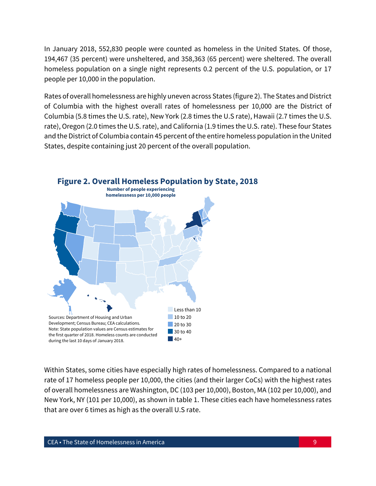In January 2018, 552,830 people were counted as homeless in the United States. Of those, 194,467 (35 percent) were unsheltered, and 358,363 (65 percent) were sheltered. The overall homeless population on a single night represents 0.2 percent of the U.S. population, or 17 people per 10,000 in the population.

Rates of overall homelessness are highly uneven across States (figure 2). The States and District of Columbia with the highest overall rates of homelessness per 10,000 are the District of Columbia (5.8 times the U.S. rate), New York (2.8 times the U.S rate), Hawaii (2.7 times the U.S. rate), Oregon (2.0 times the U.S. rate), and California (1.9 times the U.S. rate). These four States and the District of Columbia contain 45 percent of the entire homeless population in the United States, despite containing just 20 percent of the overall population.



Within States, some cities have especially high rates of homelessness. Compared to a national rate of 17 homeless people per 10,000, the cities (and their larger CoCs) with the highest rates of overall homelessness are Washington, DC (103 per 10,000), Boston, MA (102 per 10,000), and New York, NY (101 per 10,000), as shown in table 1. These cities each have homelessness rates that are over 6 times as high as the overall U.S rate.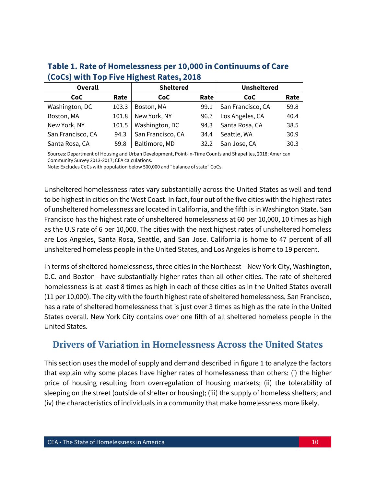| <b>Overall</b>    |       | <b>Sheltered</b>  |      | <b>Unsheltered</b> |      |
|-------------------|-------|-------------------|------|--------------------|------|
| CoC               | Rate  | CoC.              | Rate | <b>CoC</b>         | Rate |
| Washington, DC    | 103.3 | Boston, MA        | 99.1 | San Francisco, CA  | 59.8 |
| Boston, MA        | 101.8 | New York, NY      | 96.7 | Los Angeles, CA    | 40.4 |
| New York, NY      | 101.5 | Washington, DC    | 94.3 | Santa Rosa, CA     | 38.5 |
| San Francisco, CA | 94.3  | San Francisco, CA | 34.4 | Seattle, WA        | 30.9 |
| Santa Rosa, CA    | 59.8  | Baltimore, MD     | 32.2 | San Jose, CA       | 30.3 |

## **Table 1. Rate of Homelessness per 10,000 in Continuums of Care (CoCs) with Top Five Highest Rates, 2018**

Sources: Department of Housing and Urban Development, Point-in-Time Counts and Shapefiles, 2018; American Community Survey 2013-2017; CEA calculations.

Note: Excludes CoCs with population below 500,000 and "balance of state" CoCs.

Unsheltered homelessness rates vary substantially across the United States as well and tend to be highest in cities on the West Coast. In fact, four out of the five cities with the highest rates of unsheltered homelessness are located in California, and the fifth is in Washington State. San Francisco has the highest rate of unsheltered homelessness at 60 per 10,000, 10 times as high as the U.S rate of 6 per 10,000. The cities with the next highest rates of unsheltered homeless are Los Angeles, Santa Rosa, Seattle, and San Jose. California is home to 47 percent of all unsheltered homeless people in the United States, and Los Angeles is home to 19 percent.

In terms of sheltered homelessness, three cities in the Northeast—New York City, Washington, D.C. and Boston—have substantially higher rates than all other cities. The rate of sheltered homelessness is at least 8 times as high in each of these cities as in the United States overall (11 per 10,000). The city with the fourth highest rate of sheltered homelessness, San Francisco, has a rate of sheltered homelessness that is just over 3 times as high as the rate in the United States overall. New York City contains over one fifth of all sheltered homeless people in the United States.

## **Drivers of Variation in Homelessness Across the United States**

This section uses the model of supply and demand described in figure 1 to analyze the factors that explain why some places have higher rates of homelessness than others: (i) the higher price of housing resulting from overregulation of housing markets; (ii) the tolerability of sleeping on the street (outside of shelter or housing); (iii) the supply of homeless shelters; and (iv) the characteristics of individuals in a community that make homelessness more likely.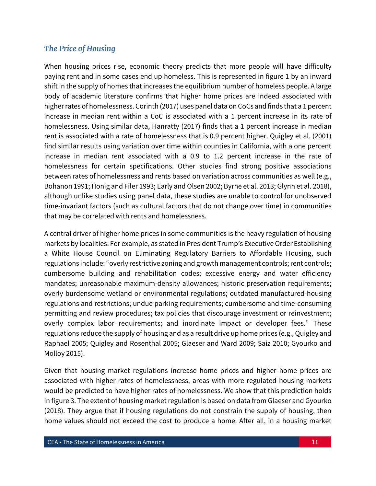## *The Price of Housing*

When housing prices rise, economic theory predicts that more people will have difficulty paying rent and in some cases end up homeless. This is represented in figure 1 by an inward shift in the supply of homes that increases the equilibrium number of homeless people. A large body of academic literature confirms that higher home prices are indeed associated with higher rates of homelessness. Corinth (2017) uses panel data on CoCs and finds that a 1 percent increase in median rent within a CoC is associated with a 1 percent increase in its rate of homelessness. Using similar data, Hanratty (2017) finds that a 1 percent increase in median rent is associated with a rate of homelessness that is 0.9 percent higher. Quigley et al. (2001) find similar results using variation over time within counties in California, with a one percent increase in median rent associated with a 0.9 to 1.2 percent increase in the rate of homelessness for certain specifications. Other studies find strong positive associations between rates of homelessness and rents based on variation across communities as well (e.g., Bohanon 1991; Honig and Filer 1993; Early and Olsen 2002; Byrne et al. 2013; Glynn et al. 2018), although unlike studies using panel data, these studies are unable to control for unobserved time-invariant factors (such as cultural factors that do not change over time) in communities that may be correlated with rents and homelessness.

A central driver of higher home prices in some communities is the heavy regulation of housing markets by localities. For example, as stated in President Trump's Executive Order Establishing a White House Council on Eliminating Regulatory Barriers to Affordable Housing, such regulations include: "overly restrictive zoning and growth management controls; rent controls; cumbersome building and rehabilitation codes; excessive energy and water efficiency mandates; unreasonable maximum-density allowances; historic preservation requirements; overly burdensome wetland or environmental regulations; outdated manufactured-housing regulations and restrictions; undue parking requirements; cumbersome and time-consuming permitting and review procedures; tax policies that discourage investment or reinvestment; overly complex labor requirements; and inordinate impact or developer fees." These regulations reduce the supply of housing and as a result drive up home prices (e.g., Quigley and Raphael 2005; Quigley and Rosenthal 2005; Glaeser and Ward 2009; Saiz 2010; Gyourko and Molloy 2015).

Given that housing market regulations increase home prices and higher home prices are associated with higher rates of homelessness, areas with more regulated housing markets would be predicted to have higher rates of homelessness. We show that this prediction holds in figure 3. The extent of housing market regulation is based on data from Glaeser and Gyourko (2018). They argue that if housing regulations do not constrain the supply of housing, then home values should not exceed the cost to produce a home. After all, in a housing market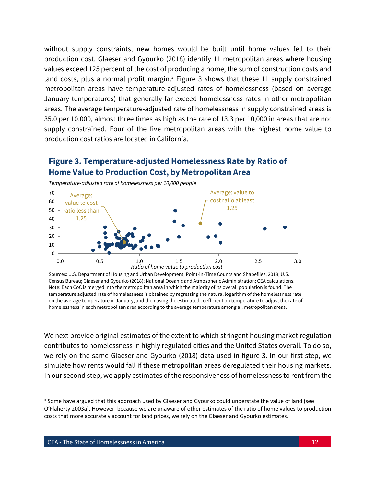without supply constraints, new homes would be built until home values fell to their production cost. Glaeser and Gyourko (2018) identify 11 metropolitan areas where housing values exceed 125 percent of the cost of producing a home, the sum of construction costs and land costs, plus a normal profit margin.<sup>3</sup> Figure 3 shows that these 11 supply constrained metropolitan areas have temperature-adjusted rates of homelessness (based on average January temperatures) that generally far exceed homelessness rates in other metropolitan areas. The average temperature-adjusted rate of homelessness in supply constrained areas is 35.0 per 10,000, almost three times as high as the rate of 13.3 per 10,000 in areas that are not supply constrained. Four of the five metropolitan areas with the highest home value to production cost ratios are located in California.

## **Figure 3. Temperature-adjusted Homelessness Rate by Ratio of Home Value to Production Cost, by Metropolitan Area**



*Temperature-adjusted rate of homelessness per 10,000 people*

Sources: U.S. Department of Housing and Urban Development, Point-in-Time Counts and Shapefiles, 2018; U.S. Census Bureau; Glaeser and Gyourko (2018); National Oceanic and Atmospheric Administration; CEA calculations. Note: Each CoC is merged into the metropolitan area in which the majority of its overall population is found. The temperature adjusted rate of homelessness is obtained by regressing the natural logarithm of the homelessness rate on the average temperature in January, and then using the estimated coefficient on temperature to adjust the rate of homelessness in each metropolitan area according to the average temperature among all metropolitan areas.

We next provide original estimates of the extent to which stringent housing market regulation contributes to homelessness in highly regulated cities and the United States overall. To do so, we rely on the same Glaeser and Gyourko (2018) data used in figure 3. In our first step, we simulate how rents would fall if these metropolitan areas deregulated their housing markets. In our second step, we apply estimates of the responsiveness of homelessness to rent from the

 $\overline{\phantom{a}}$ 

 $3$  Some have argued that this approach used by Glaeser and Gyourko could understate the value of land (see O'Flaherty 2003a). However, because we are unaware of other estimates of the ratio of home values to production costs that more accurately account for land prices, we rely on the Glaeser and Gyourko estimates.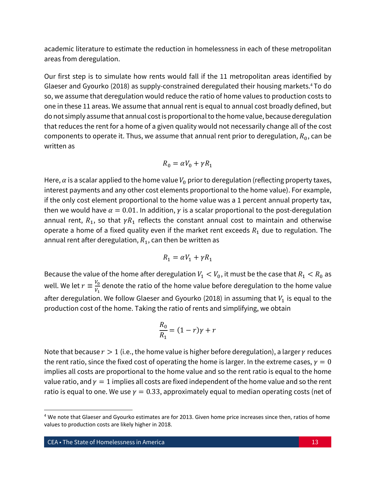academic literature to estimate the reduction in homelessness in each of these metropolitan areas from deregulation.

Our first step is to simulate how rents would fall if the 11 metropolitan areas identified by Glaeser and Gyourko (2018) as supply-constrained deregulated their housing markets.<sup>4</sup> To do so, we assume that deregulation would reduce the ratio of home values to production costs to one in these 11 areas. We assume that annual rent is equal to annual cost broadly defined, but do not simply assume that annual costis proportional to the home value, because deregulation that reduces the rent for a home of a given quality would not necessarily change all of the cost components to operate it. Thus, we assume that annual rent prior to deregulation,  $R_0$ , can be written as

$$
R_0 = \alpha V_0 + \gamma R_1
$$

Here,  $\alpha$  is a scalar applied to the home value  $V_0$  prior to deregulation (reflecting property taxes, interest payments and any other cost elements proportional to the home value). For example, if the only cost element proportional to the home value was a 1 percent annual property tax, then we would have  $\alpha = 0.01$ . In addition,  $\gamma$  is a scalar proportional to the post-deregulation annual rent,  $R_1$ , so that  $\gamma R_1$  reflects the constant annual cost to maintain and otherwise operate a home of a fixed quality even if the market rent exceeds  $R_1$  due to regulation. The annual rent after deregulation,  $R_1$ , can then be written as

$$
R_1 = \alpha V_1 + \gamma R_1
$$

Because the value of the home after deregulation  $V_1 < V_0$ , it must be the case that  $R_1 < R_0$  as well. We let  $r \equiv \frac{V_0}{V}$  $\frac{v_0}{V_1}$  denote the ratio of the home value before deregulation to the home value after deregulation. We follow Glaeser and Gyourko (2018) in assuming that  $V_1$  is equal to the production cost of the home. Taking the ratio of rents and simplifying, we obtain

$$
\frac{R_0}{R_1} = (1-r)\gamma + r
$$

Note that because  $r > 1$  (i.e., the home value is higher before deregulation), a larger  $\gamma$  reduces the rent ratio, since the fixed cost of operating the home is larger. In the extreme cases,  $y = 0$ implies all costs are proportional to the home value and so the rent ratio is equal to the home value ratio, and  $y = 1$  implies all costs are fixed independent of the home value and so the rent ratio is equal to one. We use  $\gamma = 0.33$ , approximately equal to median operating costs (net of

 $\overline{a}$ 

<sup>&</sup>lt;sup>4</sup> We note that Glaeser and Gyourko estimates are for 2013. Given home price increases since then, ratios of home values to production costs are likely higher in 2018.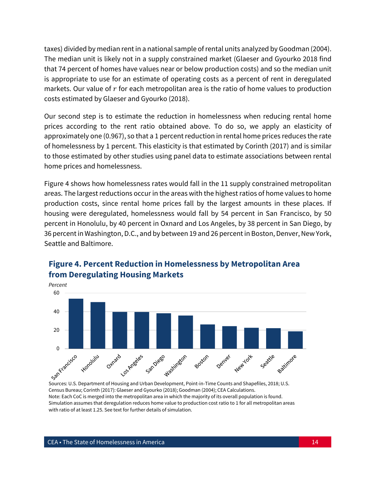taxes) divided by median rent in a national sample of rental units analyzed by Goodman (2004). The median unit is likely not in a supply constrained market (Glaeser and Gyourko 2018 find that 74 percent of homes have values near or below production costs) and so the median unit is appropriate to use for an estimate of operating costs as a percent of rent in deregulated markets. Our value of  $r$  for each metropolitan area is the ratio of home values to production costs estimated by Glaeser and Gyourko (2018).

Our second step is to estimate the reduction in homelessness when reducing rental home prices according to the rent ratio obtained above. To do so, we apply an elasticity of approximately one(0.967), so that a 1 percent reduction in rental home prices reduces the rate of homelessness by 1 percent. This elasticity is that estimated by Corinth (2017) and is similar to those estimated by other studies using panel data to estimate associations between rental home prices and homelessness.

Figure 4 shows how homelessness rates would fall in the 11 supply constrained metropolitan areas. The largest reductions occur in the areas with the highest ratios of home values to home production costs, since rental home prices fall by the largest amounts in these places. If housing were deregulated, homelessness would fall by 54 percent in San Francisco, by 50 percent in Honolulu, by 40 percent in Oxnard and Los Angeles, by 38 percent in San Diego, by 36 percent in Washington, D.C., and by between 19 and 26 percent in Boston, Denver, New York, Seattle and Baltimore.



## **Figure 4. Percent Reduction in Homelessness by Metropolitan Area from Deregulating Housing Markets**

Sources: U.S. Department of Housing and Urban Development, Point-in-Time Counts and Shapefiles, 2018; U.S. Census Bureau; Corinth (2017): Glaeser and Gyourko (2018); Goodman (2004); CEA Calculations. Note: Each CoC is merged into the metropolitan area in which the majority of its overall population is found. Simulation assumes that deregulation reduces home value to production cost ratio to 1 for all metropolitan areas with ratio of at least 1.25. See text for further details of simulation.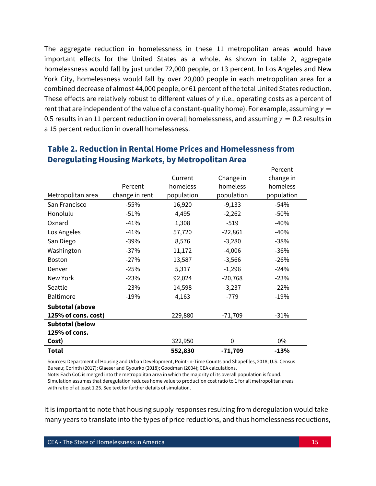The aggregate reduction in homelessness in these 11 metropolitan areas would have important effects for the United States as a whole. As shown in table 2, aggregate homelessness would fall by just under 72,000 people, or 13 percent. In Los Angeles and New York City, homelessness would fall by over 20,000 people in each metropolitan area for a combined decrease of almost 44,000 people, or 61 percent of the total United States reduction. These effects are relatively robust to different values of  $\gamma$  (i.e., operating costs as a percent of rent that are independent of the value of a constant-quality home). For example, assuming  $y =$ 0.5 results in an 11 percent reduction in overall homelessness, and assuming  $\gamma = 0.2$  results in a 15 percent reduction in overall homelessness.

|                        |                |            |            | Percent    |
|------------------------|----------------|------------|------------|------------|
|                        |                | Current    | Change in  | change in  |
|                        | Percent        | homeless   | homeless   | homeless   |
| Metropolitan area      | change in rent | population | population | population |
| San Francisco          | $-55%$         | 16,920     | $-9,133$   | $-54%$     |
| Honolulu               | $-51%$         | 4,495      | $-2,262$   | $-50%$     |
| Oxnard                 | $-41%$         | 1,308      | $-519$     | $-40%$     |
| Los Angeles            | $-41%$         | 57,720     | $-22,861$  | $-40%$     |
| San Diego              | $-39%$         | 8,576      | $-3,280$   | $-38%$     |
| Washington             | $-37%$         | 11,172     | $-4,006$   | $-36%$     |
| <b>Boston</b>          | $-27%$         | 13,587     | $-3,566$   | $-26%$     |
| Denver                 | $-25%$         | 5,317      | $-1,296$   | $-24%$     |
| New York               | $-23%$         | 92,024     | $-20,768$  | $-23%$     |
| Seattle                | $-23%$         | 14,598     | $-3,237$   | $-22%$     |
| Baltimore              | $-19%$         | 4,163      | $-779$     | $-19%$     |
| <b>Subtotal (above</b> |                |            |            |            |
| 125% of cons. cost)    |                | 229,880    | $-71,709$  | $-31%$     |
| <b>Subtotal (below</b> |                |            |            |            |
| 125% of cons.          |                |            |            |            |
| Cost)                  |                | 322,950    | 0          | 0%         |
| Total                  |                | 552,830    | $-71,709$  | $-13%$     |

## **Table 2. Reduction in Rental Home Prices and Homelessness from Deregulating Housing Markets, by Metropolitan Area**

Sources: Department of Housing and Urban Development, Point-in-Time Counts and Shapefiles, 2018; U.S. Census Bureau; Corinth (2017): Glaeser and Gyourko (2018); Goodman (2004); CEA calculations.

Note: Each CoC is merged into the metropolitan area in which the majority of its overall population is found. Simulation assumes that deregulation reduces home value to production cost ratio to 1 for all metropolitan areas with ratio of at least 1.25. See text for further details of simulation.

It is important to note that housing supply responses resulting from deregulation would take many years to translate into the types of price reductions, and thus homelessness reductions,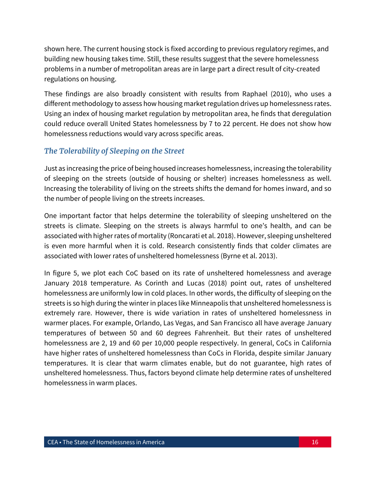shown here. The current housing stock is fixed according to previous regulatory regimes, and building new housing takes time. Still, these results suggest that the severe homelessness problems in a number of metropolitan areas are in large part a direct result of city-created regulations on housing.

These findings are also broadly consistent with results from Raphael (2010), who uses a different methodology to assess how housing market regulation drives up homelessness rates. Using an index of housing market regulation by metropolitan area, he finds that deregulation could reduce overall United States homelessness by 7 to 22 percent. He does not show how homelessness reductions would vary across specific areas.

## *The Tolerability of Sleeping on the Street*

Just as increasing the price of being housed increases homelessness, increasing the tolerability of sleeping on the streets (outside of housing or shelter) increases homelessness as well. Increasing the tolerability of living on the streets shifts the demand for homes inward, and so the number of people living on the streets increases.

One important factor that helps determine the tolerability of sleeping unsheltered on the streets is climate. Sleeping on the streets is always harmful to one's health, and can be associated with higher rates of mortality (Roncarati et al. 2018). However, sleeping unsheltered is even more harmful when it is cold. Research consistently finds that colder climates are associated with lower rates of unsheltered homelessness (Byrne et al. 2013).

In figure 5, we plot each CoC based on its rate of unsheltered homelessness and average January 2018 temperature. As Corinth and Lucas (2018) point out, rates of unsheltered homelessness are uniformly low in cold places. In other words, the difficulty of sleeping on the streets is so high during the winter in places like Minneapolis that unsheltered homelessness is extremely rare. However, there is wide variation in rates of unsheltered homelessness in warmer places. For example, Orlando, Las Vegas, and San Francisco all have average January temperatures of between 50 and 60 degrees Fahrenheit. But their rates of unsheltered homelessness are 2, 19 and 60 per 10,000 people respectively. In general, CoCs in California have higher rates of unsheltered homelessness than CoCs in Florida, despite similar January temperatures. It is clear that warm climates enable, but do not guarantee, high rates of unsheltered homelessness. Thus, factors beyond climate help determine rates of unsheltered homelessness in warm places.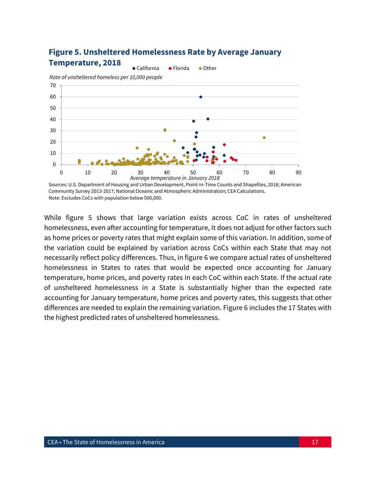

## **Figure 5. Unsheltered Homelessness Rate by Average January Temperature, 2018**

While figure 5 shows that large variation exists across CoC in rates of unsheltered homelessness, even after accounting for temperature, it does not adjust for other factors such as home prices or poverty rates that might explain some of this variation. In addition, some of the variation could be explained by variation across CoCs within each State that may not necessarily reflect policy differences. Thus, in figure 6 we compare actual rates of unsheltered homelessness in States to rates that would be expected once accounting for January temperature, home prices, and poverty rates in each CoC within each State. If the actual rate of unsheltered homelessness in a State is substantially higher than the expected rate accounting for January temperature, home prices and poverty rates, this suggests that other differences are needed to explain the remaining variation. Figure 6 includes the 17 States with the highest predicted rates of unsheltered homelessness.

Sources: U.S. Department of Housing and Urban Development, Point-in-Time Counts and Shapefiles, 2018; American Community Survey 2013-2017; National Oceanic and Atmospheric Administration; CEA Calculations. Note: Excludes CoCs with population below 500,000.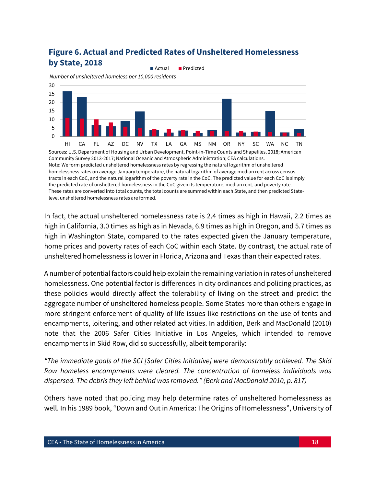## **Figure 6. Actual and Predicted Rates of Unsheltered Homelessness by State, 2018**



tracts in each CoC, and the natural logarithm of the poverty rate in the CoC. The predicted value for each CoC is simply the predicted rate of unsheltered homelessness in the CoC given its temperature, median rent, and poverty rate. These rates are converted into total counts, the total counts are summed within each State, and then predicted Statelevel unsheltered homelessness rates are formed.

In fact, the actual unsheltered homelessness rate is 2.4 times as high in Hawaii, 2.2 times as high in California, 3.0 times as high as in Nevada, 6.9 times as high in Oregon, and 5.7 times as high in Washington State, compared to the rates expected given the January temperature, home prices and poverty rates of each CoC within each State. By contrast, the actual rate of unsheltered homelessness is lower in Florida, Arizona and Texas than their expected rates.

A number of potential factors could help explain the remaining variation in rates of unsheltered homelessness. One potential factor is differences in city ordinances and policing practices, as these policies would directly affect the tolerability of living on the street and predict the aggregate number of unsheltered homeless people. Some States more than others engage in more stringent enforcement of quality of life issues like restrictions on the use of tents and encampments, loitering, and other related activities. In addition, Berk and MacDonald (2010) note that the 2006 Safer Cities Initiative in Los Angeles, which intended to remove encampments in Skid Row, did so successfully, albeit temporarily:

*"The immediate goals of the SCI [Safer Cities Initiative] were demonstrably achieved. The Skid Row homeless encampments were cleared. The concentration of homeless individuals was dispersed. The debris they left behind was removed." (Berk and MacDonald 2010, p. 817)*

Others have noted that policing may help determine rates of unsheltered homelessness as well. In his 1989 book, "Down and Out in America: The Origins of Homelessness", University of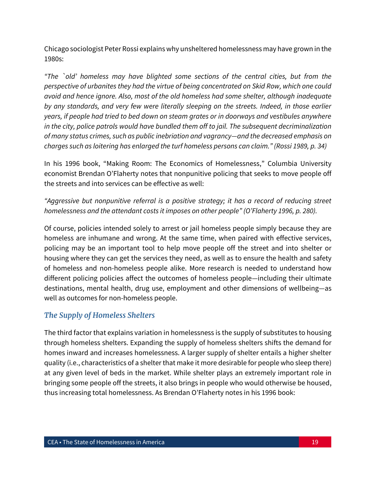Chicago sociologist Peter Rossi explains why unsheltered homelessness may have grown in the 1980s:

*"The `old' homeless may have blighted some sections of the central cities, but from the perspective of urbanites they had the virtue of being concentrated on Skid Row, which one could avoid and hence ignore. Also, most of the old homeless had some shelter, although inadequate by any standards, and very few were literally sleeping on the streets. Indeed, in those earlier years, if people had tried to bed down on steam grates or in doorways and vestibules anywhere in the city, police patrols would have bundled them off to jail. The subsequent decriminalization of many status crimes, such as public inebriation and vagrancy—and the decreased emphasis on charges such as loitering has enlarged the turf homeless persons can claim." (Rossi 1989, p. 34)*

In his 1996 book, "Making Room: The Economics of Homelessness," Columbia University economist Brendan O'Flaherty notes that nonpunitive policing that seeks to move people off the streets and into services can be effective as well:

## *"Aggressive but nonpunitive referral is a positive strategy; it has a record of reducing street homelessness and the attendant costs it imposes on other people" (O'Flaherty 1996, p. 280).*

Of course, policies intended solely to arrest or jail homeless people simply because they are homeless are inhumane and wrong. At the same time, when paired with effective services, policing may be an important tool to help move people off the street and into shelter or housing where they can get the services they need, as well as to ensure the health and safety of homeless and non-homeless people alike. More research is needed to understand how different policing policies affect the outcomes of homeless people—including their ultimate destinations, mental health, drug use, employment and other dimensions of wellbeing—as well as outcomes for non-homeless people.

## *The Supply of Homeless Shelters*

The third factor that explains variation in homelessness is the supply of substitutes to housing through homeless shelters. Expanding the supply of homeless shelters shifts the demand for homes inward and increases homelessness. A larger supply of shelter entails a higher shelter quality (i.e., characteristics of a shelter that make it more desirable for people who sleep there) at any given level of beds in the market. While shelter plays an extremely important role in bringing some people off the streets, it also brings in people who would otherwise be housed, thus increasing total homelessness. As Brendan O'Flaherty notes in his 1996 book: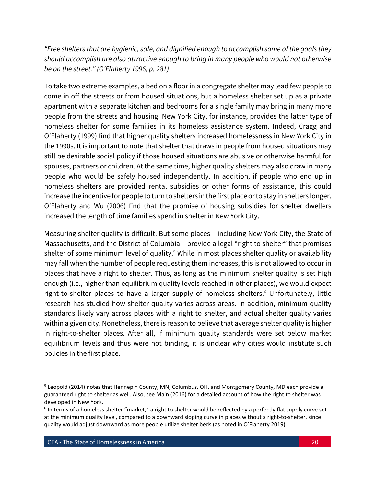*"Free shelters that are hygienic, safe, and dignified enough to accomplish some of the goals they should accomplish are also attractive enough to bring in many people who would not otherwise be on the street." (O'Flaherty 1996, p. 281)*

To take two extreme examples, a bed on a floor in a congregate shelter may lead few people to come in off the streets or from housed situations, but a homeless shelter set up as a private apartment with a separate kitchen and bedrooms for a single family may bring in many more people from the streets and housing. New York City, for instance, provides the latter type of homeless shelter for some families in its homeless assistance system. Indeed, Cragg and O'Flaherty (1999) find that higher quality shelters increased homelessness in New York City in the 1990s. It is important to note that shelter that draws in people from housed situations may still be desirable social policy if those housed situations are abusive or otherwise harmful for spouses, partners or children. At the same time, higher quality shelters may also draw in many people who would be safely housed independently. In addition, if people who end up in homeless shelters are provided rental subsidies or other forms of assistance, this could increase the incentive for people to turn to shelters in the first place or to stay in shelters longer. O'Flaherty and Wu (2006) find that the promise of housing subsidies for shelter dwellers increased the length of time families spend in shelter in New York City.

Measuring shelter quality is difficult. But some places – including New York City, the State of Massachusetts, and the District of Columbia – provide a legal "right to shelter" that promises shelter of some minimum level of quality.<sup>5</sup> While in most places shelter quality or availability may fall when the number of people requesting them increases, this is not allowed to occur in places that have a right to shelter. Thus, as long as the minimum shelter quality is set high enough (i.e., higher than equilibrium quality levels reached in other places), we would expect right-to-shelter places to have a larger supply of homeless shelters.<sup>6</sup> Unfortunately, little research has studied how shelter quality varies across areas. In addition, minimum quality standards likely vary across places with a right to shelter, and actual shelter quality varies within a given city. Nonetheless, there is reason to believe that average shelter quality is higher in right-to-shelter places. After all, if minimum quality standards were set below market equilibrium levels and thus were not binding, it is unclear why cities would institute such policies in the first place.

 $\overline{\phantom{a}}$ 

<sup>&</sup>lt;sup>5</sup> Leopold (2014) notes that Hennepin County, MN, Columbus, OH, and Montgomery County, MD each provide a guaranteed right to shelter as well. Also, see Main (2016) for a detailed account of how the right to shelter was developed in New York.

<sup>&</sup>lt;sup>6</sup> In terms of a homeless shelter "market," a right to shelter would be reflected by a perfectly flat supply curve set at the minimum quality level, compared to a downward sloping curve in places without a right-to-shelter, since quality would adjust downward as more people utilize shelter beds (as noted in O'Flaherty 2019).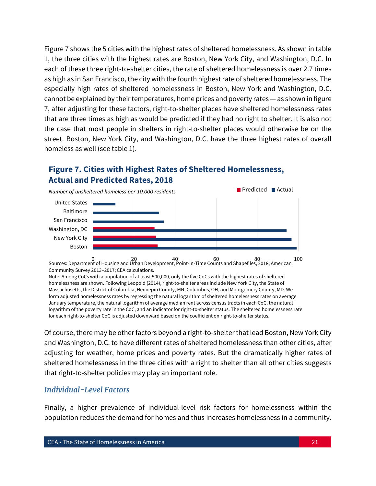Figure 7 shows the 5 cities with the highest rates of sheltered homelessness. As shown in table 1, the three cities with the highest rates are Boston, New York City, and Washington, D.C. In each of these three right-to-shelter cities, the rate of sheltered homelessness is over 2.7 times as high as in San Francisco, the city with the fourth highest rate of sheltered homelessness. The especially high rates of sheltered homelessness in Boston, New York and Washington, D.C. cannot be explained by their temperatures, home prices and poverty rates — as shown in figure 7, after adjusting for these factors, right-to-shelter places have sheltered homelessness rates that are three times as high as would be predicted if they had no right to shelter. It is also not the case that most people in shelters in right-to-shelter places would otherwise be on the street. Boston, New York City, and Washington, D.C. have the three highest rates of overall homeless as well (see table 1).

## **Figure 7. Cities with Highest Rates of Sheltered Homelessness, Actual and Predicted Rates, 2018**



0 20 40 60 80 100 Sources: Department of Housing and Urban Development, Point-in-Time Counts and Shapefiles, 2018; American Community Survey 2013–2017; CEA calculations.

Note: Among CoCs with a population of at least 500,000, only the five CoCs with the highest rates of sheltered homelessness are shown. Following Leopold (2014), right-to-shelter areas include New York City, the State of Massachusetts, the District of Columbia, Hennepin County, MN, Columbus, OH, and Montgomery County, MD. We form adjusted homelessness rates by regressing the natural logarithm of sheltered homelessness rates on average January temperature, the natural logarithm of average median rent across census tracts in each CoC, the natural logarithm of the poverty rate in the CoC, and an indicator for right-to-shelter status. The sheltered homelessness rate for each right-to-shelter CoC is adjusted downward based on the coefficient on right-to-shelter status.

Of course, there may be other factors beyond a right-to-shelter that lead Boston, New York City and Washington, D.C. to have different rates of sheltered homelessness than other cities, after adjusting for weather, home prices and poverty rates. But the dramatically higher rates of sheltered homelessness in the three cities with a right to shelter than all other cities suggests that right-to-shelter policies may play an important role.

#### *Individual-Level Factors*

Finally, a higher prevalence of individual-level risk factors for homelessness within the population reduces the demand for homes and thus increases homelessness in a community.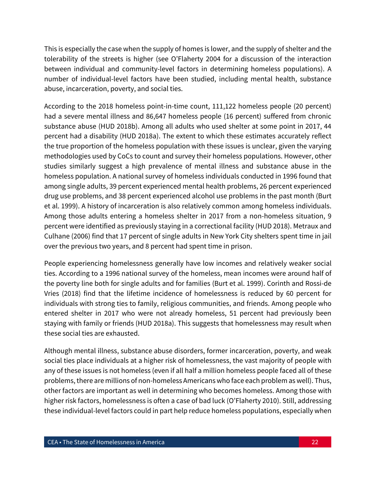This is especially the case when the supply of homes is lower, and the supply of shelter and the tolerability of the streets is higher (see O'Flaherty 2004 for a discussion of the interaction between individual and community-level factors in determining homeless populations). A number of individual-level factors have been studied, including mental health, substance abuse, incarceration, poverty, and social ties.

According to the 2018 homeless point-in-time count, 111,122 homeless people (20 percent) had a severe mental illness and 86,647 homeless people (16 percent) suffered from chronic substance abuse (HUD 2018b). Among all adults who used shelter at some point in 2017, 44 percent had a disability (HUD 2018a). The extent to which these estimates accurately reflect the true proportion of the homeless population with these issues is unclear, given the varying methodologies used by CoCs to count and survey their homeless populations. However, other studies similarly suggest a high prevalence of mental illness and substance abuse in the homeless population. A national survey of homeless individuals conducted in 1996 found that among single adults, 39 percent experienced mental health problems, 26 percent experienced drug use problems, and 38 percent experienced alcohol use problems in the past month (Burt et al. 1999). A history of incarceration is also relatively common among homeless individuals. Among those adults entering a homeless shelter in 2017 from a non-homeless situation, 9 percent were identified as previously staying in a correctional facility (HUD 2018). Metraux and Culhane (2006) find that 17 percent of single adults in New York City shelters spent time in jail over the previous two years, and 8 percent had spent time in prison.

People experiencing homelessness generally have low incomes and relatively weaker social ties. According to a 1996 national survey of the homeless, mean incomes were around half of the poverty line both for single adults and for families (Burt et al. 1999). Corinth and Rossi-de Vries (2018) find that the lifetime incidence of homelessness is reduced by 60 percent for individuals with strong ties to family, religious communities, and friends. Among people who entered shelter in 2017 who were not already homeless, 51 percent had previously been staying with family or friends (HUD 2018a). This suggests that homelessness may result when these social ties are exhausted.

Although mental illness, substance abuse disorders, former incarceration, poverty, and weak social ties place individuals at a higher risk of homelessness, the vast majority of people with any of these issues is not homeless (even if all half a million homeless people faced all of these problems, there are millions of non-homeless Americans who face each problem as well). Thus, other factors are important as well in determining who becomes homeless. Among those with higher risk factors, homelessness is often a case of bad luck (O'Flaherty 2010). Still, addressing these individual-level factors could in part help reduce homeless populations, especially when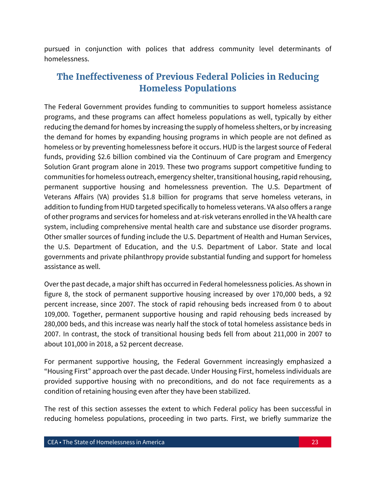pursued in conjunction with polices that address community level determinants of homelessness.

# **The Ineffectiveness of Previous Federal Policies in Reducing Homeless Populations**

The Federal Government provides funding to communities to support homeless assistance programs, and these programs can affect homeless populations as well, typically by either reducing the demand for homes by increasing the supply of homeless shelters, or by increasing the demand for homes by expanding housing programs in which people are not defined as homeless or by preventing homelessness before it occurs. HUD is the largest source of Federal funds, providing \$2.6 billion combined via the Continuum of Care program and Emergency Solution Grant program alone in 2019. These two programs support competitive funding to communities for homeless outreach, emergency shelter, transitional housing, rapid rehousing, permanent supportive housing and homelessness prevention. The U.S. Department of Veterans Affairs (VA) provides \$1.8 billion for programs that serve homeless veterans, in addition to funding from HUD targeted specifically to homeless veterans. VA also offers a range of other programs and services for homeless and at-risk veterans enrolled in the VA health care system, including comprehensive mental health care and substance use disorder programs. Other smaller sources of funding include the U.S. Department of Health and Human Services, the U.S. Department of Education, and the U.S. Department of Labor. State and local governments and private philanthropy provide substantial funding and support for homeless assistance as well.

Over the past decade, a major shift has occurred in Federal homelessness policies. As shown in figure 8, the stock of permanent supportive housing increased by over 170,000 beds, a 92 percent increase, since 2007. The stock of rapid rehousing beds increased from 0 to about 109,000. Together, permanent supportive housing and rapid rehousing beds increased by 280,000 beds, and this increase was nearly half the stock of total homeless assistance beds in 2007. In contrast, the stock of transitional housing beds fell from about 211,000 in 2007 to about 101,000 in 2018, a 52 percent decrease.

For permanent supportive housing, the Federal Government increasingly emphasized a "Housing First" approach over the past decade. Under Housing First, homeless individuals are provided supportive housing with no preconditions, and do not face requirements as a condition of retaining housing even after they have been stabilized.

The rest of this section assesses the extent to which Federal policy has been successful in reducing homeless populations, proceeding in two parts. First, we briefly summarize the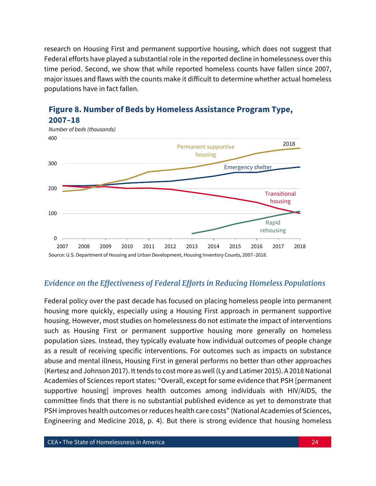research on Housing First and permanent supportive housing, which does not suggest that Federal efforts have played a substantial role in the reported decline in homelessness over this time period. Second, we show that while reported homeless counts have fallen since 2007, major issues and flaws with the counts make it difficult to determine whether actual homeless populations have in fact fallen.



## **Figure 8. Number of Beds by Homeless Assistance Program Type, 2007–18**

## *Evidence on the Effectiveness of Federal Efforts in Reducing Homeless Populations*

Federal policy over the past decade has focused on placing homeless people into permanent housing more quickly, especially using a Housing First approach in permanent supportive housing. However, most studies on homelessness do not estimate the impact of interventions such as Housing First or permanent supportive housing more generally on homeless population sizes. Instead, they typically evaluate how individual outcomes of people change as a result of receiving specific interventions. For outcomes such as impacts on substance abuse and mental illness, Housing First in general performs no better than other approaches (Kertesz and Johnson 2017). It tends to cost more as well (Ly and Latimer 2015). A 2018 National Academies of Sciences report states: "Overall, except for some evidence that PSH [permanent supportive housing] improves health outcomes among individuals with HIV/AIDS, the committee finds that there is no substantial published evidence as yet to demonstrate that PSH improves health outcomes or reduces health care costs" (National Academies of Sciences, Engineering and Medicine 2018, p. 4). But there is strong evidence that housing homeless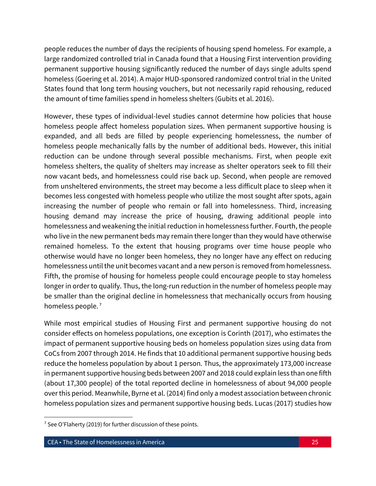people reduces the number of days the recipients of housing spend homeless. For example, a large randomized controlled trial in Canada found that a Housing First intervention providing permanent supportive housing significantly reduced the number of days single adults spend homeless (Goering et al. 2014). A major HUD-sponsored randomized control trial in the United States found that long term housing vouchers, but not necessarily rapid rehousing, reduced the amount of time families spend in homeless shelters (Gubits et al. 2016).

However, these types of individual-level studies cannot determine how policies that house homeless people affect homeless population sizes. When permanent supportive housing is expanded, and all beds are filled by people experiencing homelessness, the number of homeless people mechanically falls by the number of additional beds. However, this initial reduction can be undone through several possible mechanisms. First, when people exit homeless shelters, the quality of shelters may increase as shelter operators seek to fill their now vacant beds, and homelessness could rise back up. Second, when people are removed from unsheltered environments, the street may become a less difficult place to sleep when it becomes less congested with homeless people who utilize the most sought after spots, again increasing the number of people who remain or fall into homelessness. Third, increasing housing demand may increase the price of housing, drawing additional people into homelessness and weakening the initial reduction in homelessness further. Fourth, the people who live in the new permanent beds may remain there longer than they would have otherwise remained homeless. To the extent that housing programs over time house people who otherwise would have no longer been homeless, they no longer have any effect on reducing homelessness until the unit becomes vacant and a new person is removed from homelessness. Fifth, the promise of housing for homeless people could encourage people to stay homeless longer in order to qualify. Thus, the long-run reduction in the number of homeless people may be smaller than the original decline in homelessness that mechanically occurs from housing homeless people.<sup>7</sup>

While most empirical studies of Housing First and permanent supportive housing do not consider effects on homeless populations, one exception is Corinth (2017), who estimates the impact of permanent supportive housing beds on homeless population sizes using data from CoCs from 2007 through 2014. He finds that 10 additional permanent supportive housing beds reduce the homeless population by about 1 person. Thus, the approximately 173,000 increase in permanent supportive housing beds between 2007 and 2018 could explain less than one fifth (about 17,300 people) of the total reported decline in homelessness of about 94,000 people over this period. Meanwhile, Byrne et al. (2014) find only a modest association between chronic homeless population sizes and permanent supportive housing beds. Lucas (2017) studies how

 $\overline{\phantom{a}}$ 

<sup>&</sup>lt;sup>7</sup> See O'Flaherty (2019) for further discussion of these points.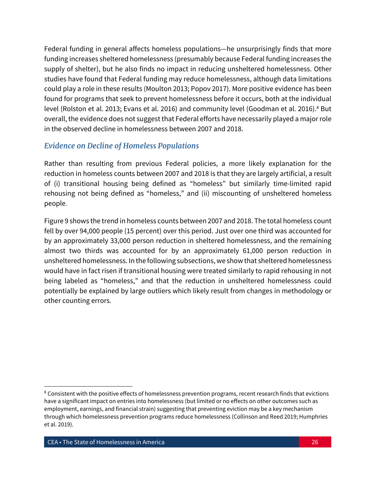Federal funding in general affects homeless populations—he unsurprisingly finds that more funding increases sheltered homelessness (presumably because Federal funding increases the supply of shelter), but he also finds no impact in reducing unsheltered homelessness. Other studies have found that Federal funding may reduce homelessness, although data limitations could play a role in these results (Moulton 2013; Popov 2017). More positive evidence has been found for programs that seek to prevent homelessness before it occurs, both at the individual level (Rolston et al. 2013; Evans et al. 2016) and community level (Goodman et al. 2016).<sup>8</sup> But overall, the evidence does not suggest that Federal efforts have necessarily played a major role in the observed decline in homelessness between 2007 and 2018.

## *Evidence on Decline of Homeless Populations*

Rather than resulting from previous Federal policies, a more likely explanation for the reduction in homeless counts between 2007 and 2018 is that they are largely artificial, a result of (i) transitional housing being defined as "homeless" but similarly time-limited rapid rehousing not being defined as "homeless," and (ii) miscounting of unsheltered homeless people.

Figure 9 shows the trend in homeless counts between 2007 and 2018. The total homeless count fell by over 94,000 people (15 percent) over this period. Just over one third was accounted for by an approximately 33,000 person reduction in sheltered homelessness, and the remaining almost two thirds was accounted for by an approximately 61,000 person reduction in unsheltered homelessness. In the following subsections, we show that sheltered homelessness would have in fact risen if transitional housing were treated similarly to rapid rehousing in not being labeled as "homeless," and that the reduction in unsheltered homelessness could potentially be explained by large outliers which likely result from changes in methodology or other counting errors.

 $\overline{\phantom{a}}$ 

<sup>&</sup>lt;sup>8</sup> Consistent with the positive effects of homelessness prevention programs, recent research finds that evictions have a significant impact on entries into homelessness (but limited or no effects on other outcomes such as employment, earnings, and financial strain) suggesting that preventing eviction may be a key mechanism through which homelessness prevention programs reduce homelessness (Collinson and Reed 2019; Humphries et al. 2019).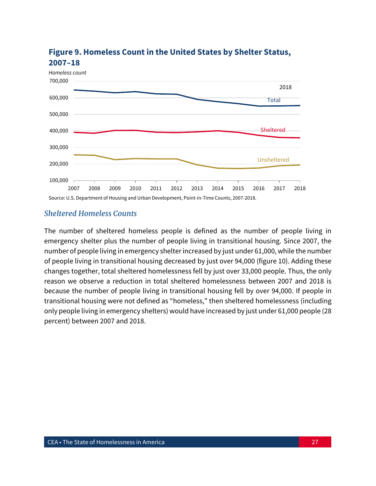

## **Figure 9. Homeless Count in the United States by Shelter Status, 2007–18**

#### *Sheltered Homeless Counts*

The number of sheltered homeless people is defined as the number of people living in emergency shelter plus the number of people living in transitional housing. Since 2007, the number of people living in emergency shelter increased by just under 61,000, while the number of people living in transitional housing decreased by just over 94,000 (figure 10). Adding these changes together, total sheltered homelessness fell by just over 33,000 people. Thus, the only reason we observe a reduction in total sheltered homelessness between 2007 and 2018 is because the number of people living in transitional housing fell by over 94,000. If people in transitional housing were not defined as "homeless," then sheltered homelessness (including only people living in emergency shelters) would have increased by just under 61,000 people (28 percent) between 2007 and 2018.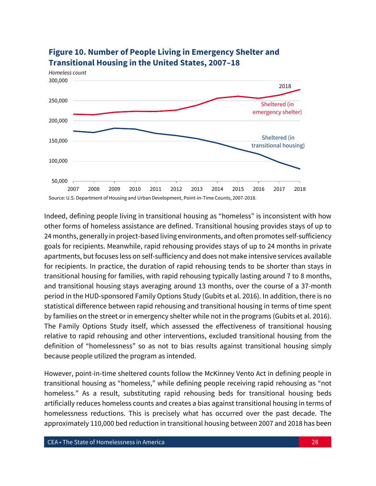

## **Figure 10. Number of People Living in Emergency Shelter and Transitional Housing in the United States, 2007–18**

Indeed, defining people living in transitional housing as "homeless" is inconsistent with how other forms of homeless assistance are defined. Transitional housing provides stays of up to 24 months, generally in project-based living environments, and often promotes self-sufficiency goals for recipients. Meanwhile, rapid rehousing provides stays of up to 24 months in private apartments, but focuses less on self-sufficiency and does not make intensive services available for recipients. In practice, the duration of rapid rehousing tends to be shorter than stays in transitional housing for families, with rapid rehousing typically lasting around 7 to 8 months, and transitional housing stays averaging around 13 months, over the course of a 37-month period in the HUD-sponsored Family Options Study (Gubits et al. 2016). In addition, there is no statistical difference between rapid rehousing and transitional housing in terms of time spent by families on the street or in emergency shelter while not in the programs (Gubits et al. 2016). The Family Options Study itself, which assessed the effectiveness of transitional housing relative to rapid rehousing and other interventions, excluded transitional housing from the definition of "homelessness" so as not to bias results against transitional housing simply because people utilized the program as intended.

However, point-in-time sheltered counts follow the McKinney Vento Act in defining people in transitional housing as "homeless," while defining people receiving rapid rehousing as "not homeless." As a result, substituting rapid rehousing beds for transitional housing beds artificially reduces homeless counts and creates a bias against transitional housing in terms of homelessness reductions. This is precisely what has occurred over the past decade. The approximately 110,000 bed reduction in transitional housing between 2007 and 2018 has been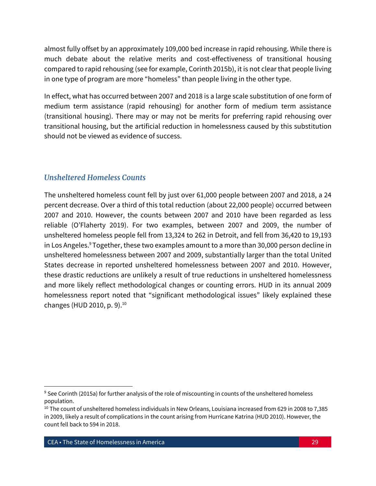almost fully offset by an approximately 109,000 bed increase in rapid rehousing. While there is much debate about the relative merits and cost-effectiveness of transitional housing compared to rapid rehousing (see for example, Corinth 2015b), it is not clear that people living in one type of program are more "homeless" than people living in the other type.

In effect, what has occurred between 2007 and 2018 is a large scale substitution of one form of medium term assistance (rapid rehousing) for another form of medium term assistance (transitional housing). There may or may not be merits for preferring rapid rehousing over transitional housing, but the artificial reduction in homelessness caused by this substitution should not be viewed as evidence of success.

## *Unsheltered Homeless Counts*

The unsheltered homeless count fell by just over 61,000 people between 2007 and 2018, a 24 percent decrease. Over a third of this total reduction (about 22,000 people) occurred between 2007 and 2010. However, the counts between 2007 and 2010 have been regarded as less reliable (O'Flaherty 2019). For two examples, between 2007 and 2009, the number of unsheltered homeless people fell from 13,324 to 262 in Detroit, and fell from 36,420 to 19,193 in Los Angeles.<sup>9</sup> Together, these two examples amount to a more than 30,000 person decline in unsheltered homelessness between 2007 and 2009, substantially larger than the total United States decrease in reported unsheltered homelessness between 2007 and 2010. However, these drastic reductions are unlikely a result of true reductions in unsheltered homelessness and more likely reflect methodological changes or counting errors. HUD in its annual 2009 homelessness report noted that "significant methodological issues" likely explained these changes (HUD 2010, p. 9).<sup>10</sup>

 $\overline{\phantom{a}}$ 

<sup>9</sup> See Corinth (2015a) for further analysis of the role of miscounting in counts of the unsheltered homeless population.

<sup>10</sup> The count of unsheltered homeless individuals in New Orleans, Louisiana increased from 629 in 2008 to 7,385 in 2009, likely a result of complications in the count arising from Hurricane Katrina (HUD 2010). However, the count fell back to 594 in 2018.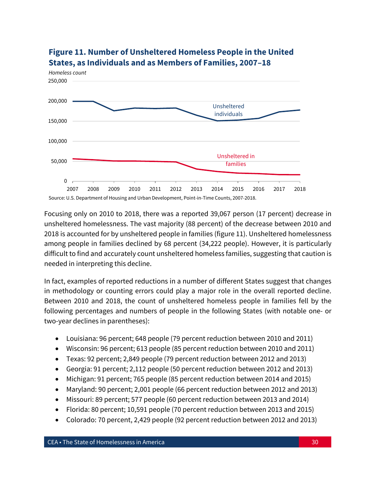

## **Figure 11. Number of Unsheltered Homeless People in the United States, as Individuals and as Members of Families, 2007–18**

Focusing only on 2010 to 2018, there was a reported 39,067 person (17 percent) decrease in unsheltered homelessness. The vast majority (88 percent) of the decrease between 2010 and 2018 is accounted for by unsheltered people in families (figure 11). Unsheltered homelessness among people in families declined by 68 percent (34,222 people). However, it is particularly difficult to find and accurately count unsheltered homeless families, suggesting that caution is needed in interpreting this decline.

In fact, examples of reported reductions in a number of different States suggest that changes in methodology or counting errors could play a major role in the overall reported decline. Between 2010 and 2018, the count of unsheltered homeless people in families fell by the following percentages and numbers of people in the following States (with notable one- or two-year declines in parentheses):

- Louisiana: 96 percent; 648 people (79 percent reduction between 2010 and 2011)
- Wisconsin: 96 percent; 613 people (85 percent reduction between 2010 and 2011)
- Texas: 92 percent; 2,849 people (79 percent reduction between 2012 and 2013)
- Georgia: 91 percent; 2,112 people (50 percent reduction between 2012 and 2013)
- Michigan: 91 percent; 765 people (85 percent reduction between 2014 and 2015)
- Maryland: 90 percent; 2,001 people (66 percent reduction between 2012 and 2013)
- Missouri: 89 percent; 577 people (60 percent reduction between 2013 and 2014)
- Florida: 80 percent; 10,591 people (70 percent reduction between 2013 and 2015)
- Colorado: 70 percent, 2,429 people (92 percent reduction between 2012 and 2013)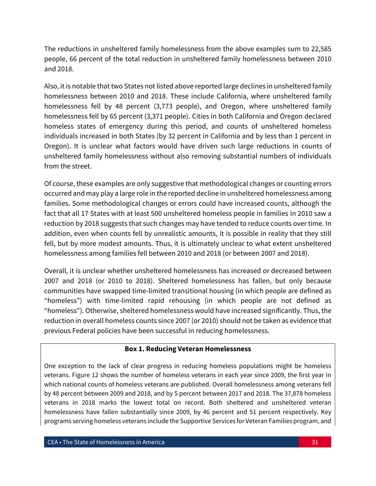The reductions in unsheltered family homelessness from the above examples sum to 22,585 people, 66 percent of the total reduction in unsheltered family homelessness between 2010 and 2018.

Also, it is notable that two States not listed above reported large declines in unsheltered family homelessness between 2010 and 2018. These include California, where unsheltered family homelessness fell by 48 percent (3,773 people), and Oregon, where unsheltered family homelessness fell by 65 percent (3,371 people). Cities in both California and Oregon declared homeless states of emergency during this period, and counts of unsheltered homeless individuals increased in both States (by 32 percent in California and by less than 1 percent in Oregon). It is unclear what factors would have driven such large reductions in counts of unsheltered family homelessness without also removing substantial numbers of individuals from the street.

Of course, these examples are only suggestive that methodological changes or counting errors occurred and may play a large role in the reported decline in unsheltered homelessness among families. Some methodological changes or errors could have increased counts, although the fact that all 17 States with at least 500 unsheltered homeless people in families in 2010 saw a reduction by 2018 suggests that such changes may have tended to reduce counts over time. In addition, even when counts fell by unrealistic amounts, it is possible in reality that they still fell, but by more modest amounts. Thus, it is ultimately unclear to what extent unsheltered homelessness among families fell between 2010 and 2018 (or between 2007 and 2018).

Overall, it is unclear whether unsheltered homelessness has increased or decreased between 2007 and 2018 (or 2010 to 2018). Sheltered homelessness has fallen, but only because communities have swapped time-limited transitional housing (in which people are defined as "homeless") with time-limited rapid rehousing (in which people are not defined as "homeless"). Otherwise, sheltered homelessness would have increased significantly. Thus, the reduction in overall homeless counts since 2007 (or 2010) should not be taken as evidence that previous Federal policies have been successful in reducing homelessness.

#### **Box 1. Reducing Veteran Homelessness**

One exception to the lack of clear progress in reducing homeless populations might be homeless veterans. Figure 12 shows the number of homeless veterans in each year since 2009, the first year in which national counts of homeless veterans are published. Overall homelessness among veterans fell by 48 percent between 2009 and 2018, and by 5 percent between 2017 and 2018. The 37,878 homeless veterans in 2018 marks the lowest total on record. Both sheltered and unsheltered veteran homelessness have fallen substantially since 2009, by 46 percent and 51 percent respectively. Key programs serving homeless veterans include the Supportive Services for Veteran Families program, and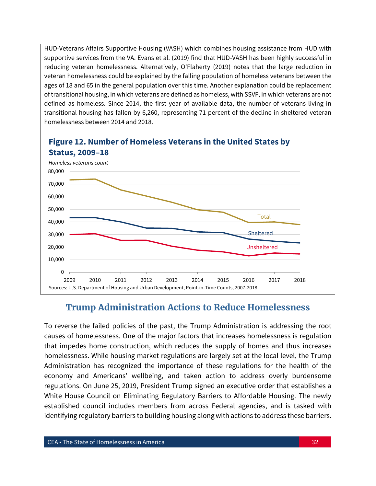HUD-Veterans Affairs Supportive Housing (VASH) which combines housing assistance from HUD with supportive services from the VA. Evans et al. (2019) find that HUD-VASH has been highly successful in reducing veteran homelessness. Alternatively, O'Flaherty (2019) notes that the large reduction in veteran homelessness could be explained by the falling population of homeless veterans between the ages of 18 and 65 in the general population over this time. Another explanation could be replacement of transitional housing, in which veterans are defined as homeless, with SSVF, in which veterans are not defined as homeless. Since 2014, the first year of available data, the number of veterans living in transitional housing has fallen by 6,260, representing 71 percent of the decline in sheltered veteran homelessness between 2014 and 2018.



# **Figure 12. Number of Homeless Veterans in the United States by**

## **Trump Administration Actions to Reduce Homelessness**

To reverse the failed policies of the past, the Trump Administration is addressing the root causes of homelessness. One of the major factors that increases homelessness is regulation that impedes home construction, which reduces the supply of homes and thus increases homelessness. While housing market regulations are largely set at the local level, the Trump Administration has recognized the importance of these regulations for the health of the economy and Americans' wellbeing, and taken action to address overly burdensome regulations. On June 25, 2019, President Trump signed an executive order that establishes a White House Council on Eliminating Regulatory Barriers to Affordable Housing. The newly established council includes members from across Federal agencies, and is tasked with identifying regulatory barriers to building housing along with actions to address these barriers.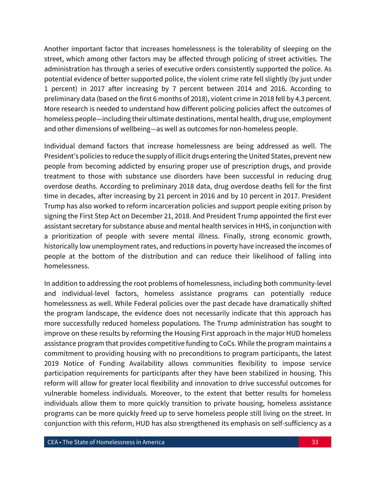Another important factor that increases homelessness is the tolerability of sleeping on the street, which among other factors may be affected through policing of street activities. The administration has through a series of executive orders consistently supported the police. As potential evidence of better supported police, the violent crime rate fell slightly (by just under 1 percent) in 2017 after increasing by 7 percent between 2014 and 2016. According to preliminary data (based on the first 6 months of 2018), violent crime in 2018 fell by 4.3 percent. More research is needed to understand how different policing policies affect the outcomes of homeless people—including their ultimate destinations, mental health, drug use, employment and other dimensions of wellbeing—as well as outcomes for non-homeless people.

Individual demand factors that increase homelessness are being addressed as well. The President's policies to reduce the supply of illicit drugs entering the United States, prevent new people from becoming addicted by ensuring proper use of prescription drugs, and provide treatment to those with substance use disorders have been successful in reducing drug overdose deaths. According to preliminary 2018 data, drug overdose deaths fell for the first time in decades, after increasing by 21 percent in 2016 and by 10 percent in 2017. President Trump has also worked to reform incarceration policies and support people exiting prison by signing the First Step Act on December 21, 2018. And President Trump appointed the first ever assistant secretary for substance abuse and mental health services in HHS, in conjunction with a prioritization of people with severe mental illness. Finally, strong economic growth, historically low unemployment rates, and reductions in poverty have increased the incomes of people at the bottom of the distribution and can reduce their likelihood of falling into homelessness.

In addition to addressing the root problems of homelessness, including both community-level and individual-level factors, homeless assistance programs can potentially reduce homelessness as well. While Federal policies over the past decade have dramatically shifted the program landscape, the evidence does not necessarily indicate that this approach has more successfully reduced homeless populations. The Trump administration has sought to improve on these results by reforming the Housing First approach in the major HUD homeless assistance program that provides competitive funding to CoCs. While the program maintains a commitment to providing housing with no preconditions to program participants, the latest 2019 Notice of Funding Availability allows communities flexibility to impose service participation requirements for participants after they have been stabilized in housing. This reform will allow for greater local flexibility and innovation to drive successful outcomes for vulnerable homeless individuals. Moreover, to the extent that better results for homeless individuals allow them to more quickly transition to private housing, homeless assistance programs can be more quickly freed up to serve homeless people still living on the street. In conjunction with this reform, HUD has also strengthened its emphasis on self-sufficiency as a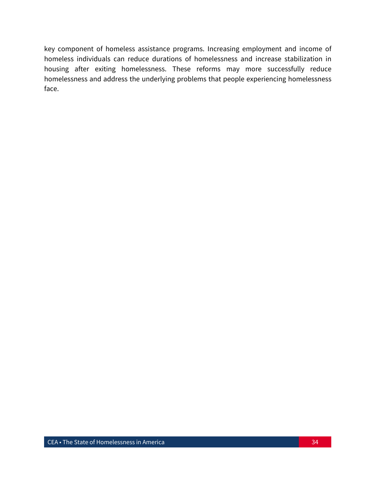key component of homeless assistance programs. Increasing employment and income of homeless individuals can reduce durations of homelessness and increase stabilization in housing after exiting homelessness. These reforms may more successfully reduce homelessness and address the underlying problems that people experiencing homelessness face.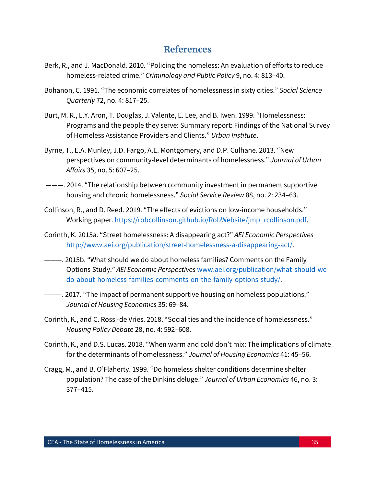## **References**

- Berk, R., and J. MacDonald. 2010. "Policing the homeless: An evaluation of efforts to reduce homeless-related crime." *Criminology and Public Policy* 9, no. 4: 813–40.
- Bohanon, C. 1991. "The economic correlates of homelessness in sixty cities." *Social Science Quarterly* 72, no. 4: 817–25.
- Burt, M. R., L.Y. Aron, T. Douglas, J. Valente, E. Lee, and B. Iwen. 1999. "Homelessness: Programs and the people they serve: Summary report: Findings of the National Survey of Homeless Assistance Providers and Clients." *Urban Institute*.
- Byrne, T., E.A. Munley, J.D. Fargo, A.E. Montgomery, and D.P. Culhane. 2013. "New perspectives on community-level determinants of homelessness." *Journal of Urban Affairs* 35, no. 5: 607–25.
- ———. 2014. "The relationship between community investment in permanent supportive housing and chronic homelessness." *Social Service Review* 88, no. 2: 234–63.
- Collinson, R., and D. Reed. 2019. "The effects of evictions on low-income households." Working paper. [https://robcollinson.github.io/RobWebsite/jmp\\_rcollinson.pdf.](https://robcollinson.github.io/RobWebsite/jmp_rcollinson.pdf)
- Corinth, K. 2015a. "Street homelessness: A disappearing act?" *AEI Economic Perspectives* [http://www.aei.org/publication/street-homelessness-a-disappearing-act/.](http://www.aei.org/publication/street-homelessness-a-disappearing-act/)
- ———. 2015b. "What should we do about homeless families? Comments on the Family Options Study." *AEI Economic Perspectives* [www.aei.org/publication/what-should-we](http://www.aei.org/publication/what-should-we-do-about-homeless-families-comments-on-the-family-options-study/)[do-about-homeless-families-comments-on-the-family-options-study/.](http://www.aei.org/publication/what-should-we-do-about-homeless-families-comments-on-the-family-options-study/)
- ———. 2017. "The impact of permanent supportive housing on homeless populations." *Journal of Housing Economics* 35: 69–84.
- Corinth, K., and C. Rossi-de Vries. 2018. "Social ties and the incidence of homelessness." *Housing Policy Debate* 28, no. 4: 592–608.
- Corinth, K., and D.S. Lucas. 2018. "When warm and cold don't mix: The implications of climate for the determinants of homelessness." *Journal of Housing Economics* 41: 45–56.
- Cragg, M., and B. O'Flaherty. 1999. "Do homeless shelter conditions determine shelter population? The case of the Dinkins deluge." *Journal of Urban Economics* 46, no. 3: 377–415.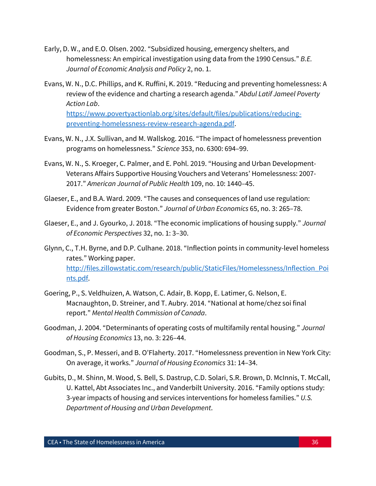- Early, D. W., and E.O. Olsen. 2002. "Subsidized housing, emergency shelters, and homelessness: An empirical investigation using data from the 1990 Census." *B.E. Journal of Economic Analysis and Policy* 2, no. 1.
- Evans, W. N., D.C. Phillips, and K. Ruffini, K. 2019. "Reducing and preventing homelessness: A review of the evidence and charting a research agenda." *Abdul Latif Jameel Poverty Action Lab*. [https://www.povertyactionlab.org/sites/default/files/publications/reducing-](https://www.povertyactionlab.org/sites/default/files/publications/reducing-preventing-homelessness-review-research-agenda.pdf)

[preventing-homelessness-review-research-agenda.pdf.](https://www.povertyactionlab.org/sites/default/files/publications/reducing-preventing-homelessness-review-research-agenda.pdf)

- Evans, W. N., J.X. Sullivan, and M. Wallskog. 2016. "The impact of homelessness prevention programs on homelessness." *Science* 353, no. 6300: 694–99.
- Evans, W. N., S. Kroeger, C. Palmer, and E. Pohl. 2019. "Housing and Urban Development-Veterans Affairs Supportive Housing Vouchers and Veterans' Homelessness: 2007- 2017." *American Journal of Public Health* 109, no. 10: 1440–45.
- Glaeser, E., and B.A. Ward. 2009. "The causes and consequences of land use regulation: Evidence from greater Boston." *Journal of Urban Economics* 65, no. 3: 265–78.
- Glaeser, E., and J. Gyourko, J. 2018. "The economic implications of housing supply." *Journal of Economic Perspectives* 32, no. 1: 3–30.
- Glynn, C., T.H. Byrne, and D.P. Culhane. 2018. "Inflection points in community-level homeless rates." Working paper. [http://files.zillowstatic.com/research/public/StaticFiles/Homelessness/Inflection\\_Poi](http://files.zillowstatic.com/research/public/StaticFiles/Homelessness/Inflection_Points.pdf) [nts.pdf.](http://files.zillowstatic.com/research/public/StaticFiles/Homelessness/Inflection_Points.pdf)
- Goering, P., S. Veldhuizen, A. Watson, C. Adair, B. Kopp, E. Latimer, G. Nelson, E. Macnaughton, D. Streiner, and T. Aubry. 2014. "National at home/chez soi final report." *Mental Health Commission of Canada*.
- Goodman, J. 2004. "Determinants of operating costs of multifamily rental housing." *Journal of Housing Economics* 13, no. 3: 226–44.
- Goodman, S., P. Messeri, and B. O'Flaherty. 2017. "Homelessness prevention in New York City: On average, it works." *Journal of Housing Economics* 31: 14–34.
- Gubits, D., M. Shinn, M. Wood, S. Bell, S. Dastrup, C.D. Solari, S.R. Brown, D. McInnis, T. McCall, U. Kattel, Abt Associates Inc., and Vanderbilt University. 2016. "Family options study: 3-year impacts of housing and services interventions for homeless families." *U.S. Department of Housing and Urban Development*.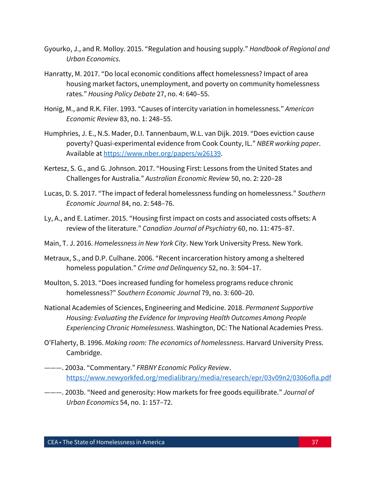- Gyourko, J., and R. Molloy. 2015. "Regulation and housing supply." *Handbook of Regional and Urban Economics*.
- Hanratty, M. 2017. "Do local economic conditions affect homelessness? Impact of area housing market factors, unemployment, and poverty on community homelessness rates." *Housing Policy Debate* 27, no. 4: 640–55.
- Honig, M., and R.K. Filer. 1993. "Causes of intercity variation in homelessness." *American Economic Review* 83, no. 1: 248–55.
- Humphries, J. E., N.S. Mader, D.I. Tannenbaum, W.L. van Dijk. 2019. "Does eviction cause poverty? Quasi-experimental evidence from Cook County, IL." *NBER working paper*. Available at [https://www.nber.org/papers/w26139.](https://www.nber.org/papers/w26139)
- Kertesz, S. G., and G. Johnson. 2017. "Housing First: Lessons from the United States and Challenges for Australia." *Australian Economic Review* 50, no. 2: 220–28
- Lucas, D. S. 2017. "The impact of federal homelessness funding on homelessness." *Southern Economic Journal* 84, no. 2: 548–76.
- Ly, A., and E. Latimer. 2015. "Housing first impact on costs and associated costs offsets: A review of the literature." *Canadian Journal of Psychiatry* 60, no. 11: 475–87.
- Main, T. J. 2016. *Homelessness in New York City*. New York University Press. New York.
- Metraux, S., and D.P. Culhane. 2006. "Recent incarceration history among a sheltered homeless population." *Crime and Delinquency* 52, no. 3: 504–17.
- Moulton, S. 2013. "Does increased funding for homeless programs reduce chronic homelessness?" *Southern Economic Journal* 79, no. 3: 600–20.
- National Academies of Sciences, Engineering and Medicine. 2018. *Permanent Supportive Housing: Evaluating the Evidence for Improving Health Outcomes Among People Experiencing Chronic Homelessness*. Washington, DC: The National Academies Press.
- O'Flaherty, B. 1996. *Making room: The economics of homelessness*. Harvard University Press. Cambridge.
- ———. 2003a. "Commentary." *FRBNY Economic Policy Review*. <https://www.newyorkfed.org/medialibrary/media/research/epr/03v09n2/0306ofla.pdf>
- ———. 2003b. "Need and generosity: How markets for free goods equilibrate." *Journal of Urban Economics* 54, no. 1: 157–72.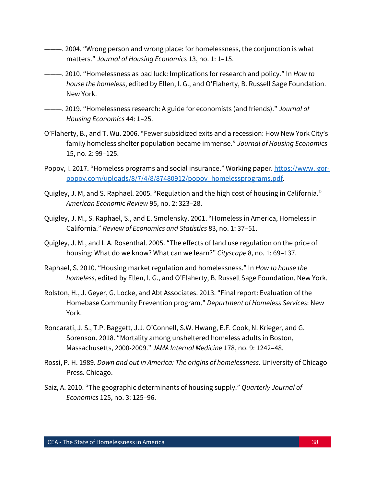- ———. 2004. "Wrong person and wrong place: for homelessness, the conjunction is what matters." *Journal of Housing Economics* 13, no. 1: 1–15.
- ———. 2010. "Homelessness as bad luck: Implications for research and policy." In *How to house the homeless*, edited by Ellen, I. G., and O'Flaherty, B. Russell Sage Foundation. New York.
- ———. 2019. "Homelessness research: A guide for economists (and friends)." *Journal of Housing Economics* 44: 1–25.
- O'Flaherty, B., and T. Wu. 2006. "Fewer subsidized exits and a recession: How New York City's family homeless shelter population became immense." *Journal of Housing Economics*  15, no. 2: 99–125.
- Popov, I. 2017. "Homeless programs and social insurance." Working paper. [https://www.igor](https://www.igor-popov.com/uploads/8/7/4/8/87480912/popov_homelessprograms.pdf)[popov.com/uploads/8/7/4/8/87480912/popov\\_homelessprograms.pdf.](https://www.igor-popov.com/uploads/8/7/4/8/87480912/popov_homelessprograms.pdf)
- Quigley, J. M, and S. Raphael. 2005. "Regulation and the high cost of housing in California." *American Economic Review* 95, no. 2: 323–28.
- Quigley, J. M., S. Raphael, S., and E. Smolensky. 2001. "Homeless in America, Homeless in California." *Review of Economics and Statistics* 83, no. 1: 37–51.
- Quigley, J. M., and L.A. Rosenthal. 2005. "The effects of land use regulation on the price of housing: What do we know? What can we learn?" *Cityscape* 8, no. 1: 69–137.
- Raphael, S. 2010. "Housing market regulation and homelessness." In *How to house the homeless*, edited by Ellen, I. G., and O'Flaherty, B. Russell Sage Foundation. New York.
- Rolston, H., J. Geyer, G. Locke, and Abt Associates. 2013. "Final report: Evaluation of the Homebase Community Prevention program." *Department of Homeless Services*: New York.
- Roncarati, J. S., T.P. Baggett, J.J. O'Connell, S.W. Hwang, E.F. Cook, N. Krieger, and G. Sorenson. 2018. "Mortality among unsheltered homeless adults in Boston, Massachusetts, 2000-2009." *JAMA Internal Medicine* 178, no. 9: 1242–48.
- Rossi, P. H. 1989. *Down and out in America: The origins of homelessness*. University of Chicago Press. Chicago.
- Saiz, A. 2010. "The geographic determinants of housing supply." *Quarterly Journal of Economics* 125, no. 3: 125–96.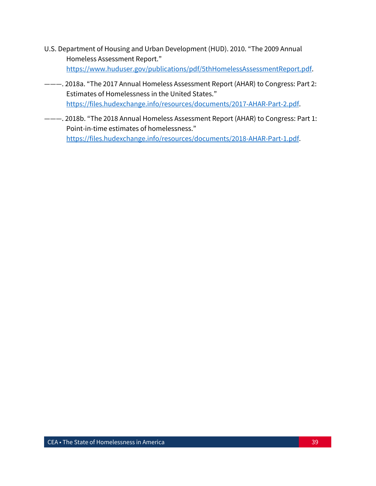- U.S. Department of Housing and Urban Development (HUD). 2010. "The 2009 Annual Homeless Assessment Report." [https://www.huduser.gov/publications/pdf/5thHomelessAssessmentReport.pdf.](https://www.huduser.gov/publications/pdf/5thHomelessAssessmentReport.pdf)
- ———. 2018a. "The 2017 Annual Homeless Assessment Report (AHAR) to Congress: Part 2: Estimates of Homelessness in the United States." [https://files.hudexchange.info/resources/documents/2017-AHAR-Part-2.pdf.](https://files.hudexchange.info/resources/documents/2017-AHAR-Part-2.pdf)
- ———. 2018b. "The 2018 Annual Homeless Assessment Report (AHAR) to Congress: Part 1: Point-in-time estimates of homelessness." [https://files.hudexchange.info/resources/documents/2018-AHAR-Part-1.pdf.](https://files.hudexchange.info/resources/documents/2018-AHAR-Part-1.pdf)